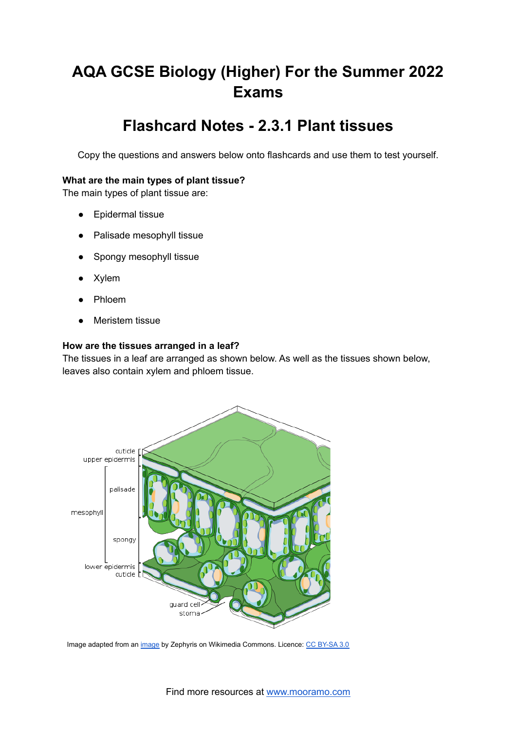# **AQA GCSE Biology (Higher) For the Summer 2022 Exams**

# **Flashcard Notes - 2.3.1 Plant tissues**

Copy the questions and answers below onto flashcards and use them to test yourself.

# **What are the main types of plant tissue?**

The main types of plant tissue are:

- Epidermal tissue
- Palisade mesophyll tissue
- Spongy mesophyll tissue
- Xylem
- Phloem
- **Meristem tissue**

# **How are the tissues arranged in a leaf?**

The tissues in a leaf are arranged as shown below. As well as the tissues shown below, leaves also contain xylem and phloem tissue.



Image adapted from an *[image](https://commons.wikimedia.org/wiki/File:Leaf_Tissue_Structure.svg)* by Zephyris on Wikimedia Commons. Licence: CC [BY-SA](https://creativecommons.org/licenses/by-sa/3.0/deed.en) 3.0

Find more resources at [www.mooramo.com](http://www.mooramo.com)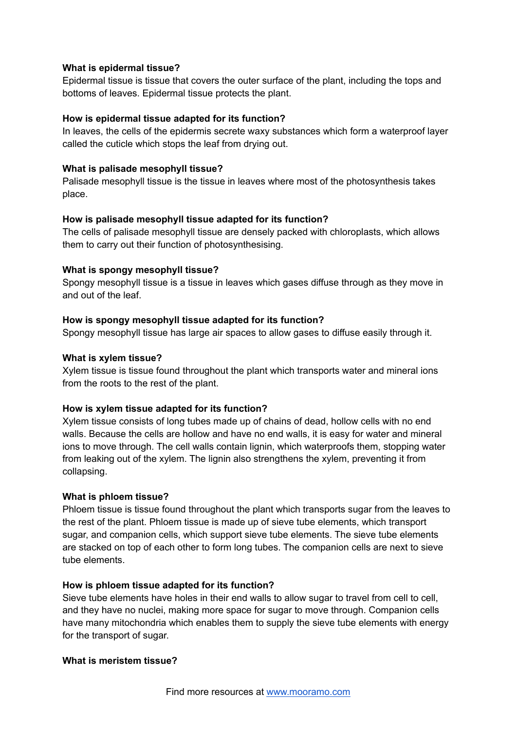# **What is epidermal tissue?**

Epidermal tissue is tissue that covers the outer surface of the plant, including the tops and bottoms of leaves. Epidermal tissue protects the plant.

#### **How is epidermal tissue adapted for its function?**

In leaves, the cells of the epidermis secrete waxy substances which form a waterproof layer called the cuticle which stops the leaf from drying out.

#### **What is palisade mesophyll tissue?**

Palisade mesophyll tissue is the tissue in leaves where most of the photosynthesis takes place.

# **How is palisade mesophyll tissue adapted for its function?**

The cells of palisade mesophyll tissue are densely packed with chloroplasts, which allows them to carry out their function of photosynthesising.

#### **What is spongy mesophyll tissue?**

Spongy mesophyll tissue is a tissue in leaves which gases diffuse through as they move in and out of the leaf.

#### **How is spongy mesophyll tissue adapted for its function?**

Spongy mesophyll tissue has large air spaces to allow gases to diffuse easily through it.

#### **What is xylem tissue?**

Xylem tissue is tissue found throughout the plant which transports water and mineral ions from the roots to the rest of the plant.

# **How is xylem tissue adapted for its function?**

Xylem tissue consists of long tubes made up of chains of dead, hollow cells with no end walls. Because the cells are hollow and have no end walls, it is easy for water and mineral ions to move through. The cell walls contain lignin, which waterproofs them, stopping water from leaking out of the xylem. The lignin also strengthens the xylem, preventing it from collapsing.

#### **What is phloem tissue?**

Phloem tissue is tissue found throughout the plant which transports sugar from the leaves to the rest of the plant. Phloem tissue is made up of sieve tube elements, which transport sugar, and companion cells, which support sieve tube elements. The sieve tube elements are stacked on top of each other to form long tubes. The companion cells are next to sieve tube elements.

# **How is phloem tissue adapted for its function?**

Sieve tube elements have holes in their end walls to allow sugar to travel from cell to cell, and they have no nuclei, making more space for sugar to move through. Companion cells have many mitochondria which enables them to supply the sieve tube elements with energy for the transport of sugar.

#### **What is meristem tissue?**